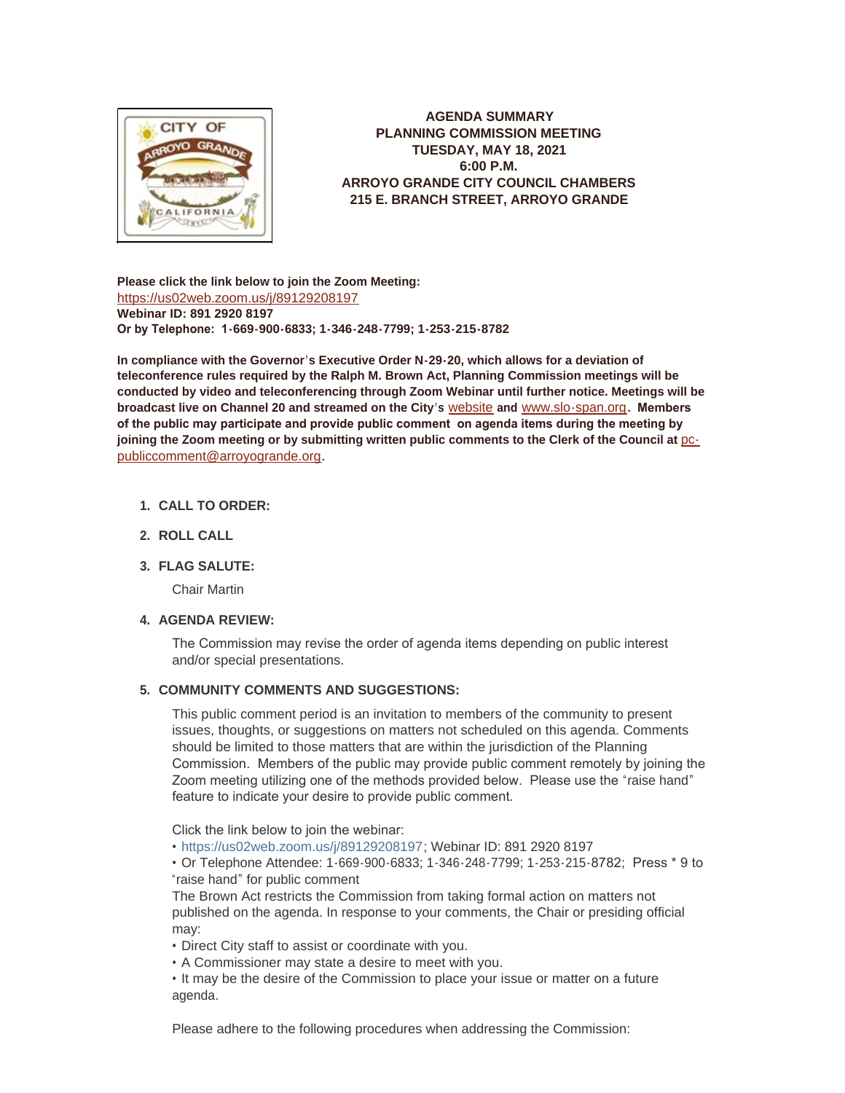

**AGENDA SUMMARY PLANNING COMMISSION MEETING TUESDAY, MAY 18, 2021 6:00 P.M. ARROYO GRANDE CITY COUNCIL CHAMBERS 215 E. BRANCH STREET, ARROYO GRANDE**

**Please click the link below to join the Zoom Meeting:** <https://us02web.zoom.us/j/89129208197> **Webinar ID: 891 2920 8197 Or by Telephone: 1-669-900-6833; 1-346-248-7799; 1-253-215-8782**

**In compliance with the Governor's Executive Order N-29-20, which allows for a deviation of teleconference rules required by the Ralph M. Brown Act, Planning Commission meetings will be conducted by video and teleconferencing through Zoom Webinar until further notice. Meetings will be broadcast live on Channel 20 and streamed on the City's** [website](http://www.arroyogrande.org/631/Govt-Access-TV---Channel-20) **and** [www.slo-span.org](https://cal-span.org/unipage/index.php?site=slo-span&channel=2&site=slo-span&channel=2)**. Members of the public may participate and provide public comment on agenda items during the meeting by**  joining the Zoom meeting or by submitting written public comments to the Clerk of the Council at **pc**publiccomment@arroyogrande.org**.** 

# **CALL TO ORDER: 1.**

**ROLL CALL 2.**

# **FLAG SALUTE: 3.**

Chair Martin

# **AGENDA REVIEW: 4.**

The Commission may revise the order of agenda items depending on public interest and/or special presentations.

#### **COMMUNITY COMMENTS AND SUGGESTIONS: 5.**

This public comment period is an invitation to members of the community to present issues, thoughts, or suggestions on matters not scheduled on this agenda. Comments should be limited to those matters that are within the jurisdiction of the Planning Commission. Members of the public may provide public comment remotely by joining the Zoom meeting utilizing one of the methods provided below. Please use the "raise hand" feature to indicate your desire to provide public comment.

Click the link below to join the webinar:

• <https://us02web.zoom.us/j/89129208197>; Webinar ID: 891 2920 8197

• Or Telephone Attendee: 1-669-900-6833; 1-346-248-7799; 1-253-215-8782; Press \* 9 to "raise hand" for public comment

The Brown Act restricts the Commission from taking formal action on matters not published on the agenda. In response to your comments, the Chair or presiding official may:

• Direct City staff to assist or coordinate with you.

• A Commissioner may state a desire to meet with you.

• It may be the desire of the Commission to place your issue or matter on a future agenda.

Please adhere to the following procedures when addressing the Commission: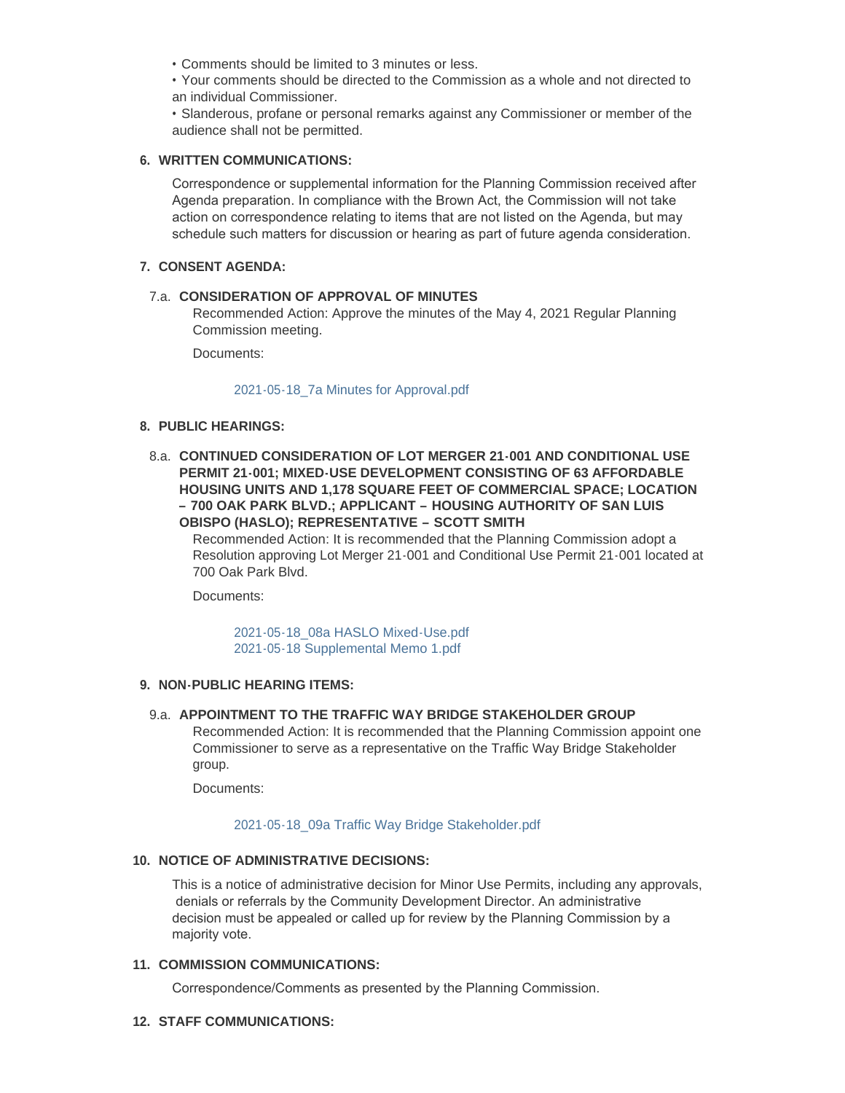• Comments should be limited to 3 minutes or less.

• Your comments should be directed to the Commission as a whole and not directed to an individual Commissioner.

• Slanderous, profane or personal remarks against any Commissioner or member of the audience shall not be permitted.

### **WRITTEN COMMUNICATIONS: 6.**

Correspondence or supplemental information for the Planning Commission received after Agenda preparation. In compliance with the Brown Act, the Commission will not take action on correspondence relating to items that are not listed on the Agenda, but may schedule such matters for discussion or hearing as part of future agenda consideration.

### **CONSENT AGENDA: 7.**

# **CONSIDERATION OF APPROVAL OF MINUTES**  7.a.

Recommended Action: Approve the minutes of the May 4, 2021 Regular Planning Commission meeting.

Documents:

#### [2021-05-18\\_7a Minutes for Approval.pdf](http://www.arroyogrande.org/AgendaCenter/ViewFile/Item/11020?fileID=17211)

### **PUBLIC HEARINGS: 8.**

**CONTINUED CONSIDERATION OF LOT MERGER 21-001 AND CONDITIONAL USE**  8.a. **PERMIT 21-001; MIXED-USE DEVELOPMENT CONSISTING OF 63 AFFORDABLE HOUSING UNITS AND 1,178 SQUARE FEET OF COMMERCIAL SPACE; LOCATION – 700 OAK PARK BLVD.; APPLICANT – HOUSING AUTHORITY OF SAN LUIS OBISPO (HASLO); REPRESENTATIVE – SCOTT SMITH**

Recommended Action: It is recommended that the Planning Commission adopt a Resolution approving Lot Merger 21-001 and Conditional Use Permit 21-001 located at 700 Oak Park Blvd.

Documents:

[2021-05-18\\_08a HASLO Mixed-Use.pdf](http://www.arroyogrande.org/AgendaCenter/ViewFile/Item/11035?fileID=17216) [2021-05-18 Supplemental Memo 1.pdf](http://www.arroyogrande.org/AgendaCenter/ViewFile/Item/11035?fileID=17217)

#### **NON-PUBLIC HEARING ITEMS: 9.**

### **APPOINTMENT TO THE TRAFFIC WAY BRIDGE STAKEHOLDER GROUP** 9.a.

Recommended Action: It is recommended that the Planning Commission appoint one Commissioner to serve as a representative on the Traffic Way Bridge Stakeholder group.

Documents:

#### [2021-05-18\\_09a Traffic Way Bridge Stakeholder.pdf](http://www.arroyogrande.org/AgendaCenter/ViewFile/Item/11021?fileID=17212)

# **NOTICE OF ADMINISTRATIVE DECISIONS: 10.**

This is a notice of administrative decision for Minor Use Permits, including any approvals, denials or referrals by the Community Development Director. An administrative decision must be appealed or called up for review by the Planning Commission by a majority vote.

#### 11. COMMISSION COMMUNICATIONS:

Correspondence/Comments as presented by the Planning Commission.

### **STAFF COMMUNICATIONS: 12.**